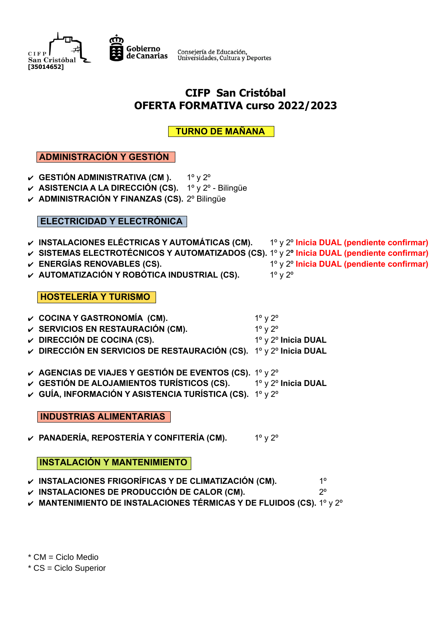



Consejería de Educación,<br>Universidades, Cultura y Deportes

# **CIFP San Cristóbal OFERTA FORMATIVA curso 2022/2023**

 **TURNO DE MAÑANA** 

## **ADMINISTRACIÓN Y GESTIÓN**

- v **GESTIÓN ADMINISTRATIVA (CM ).** 1<sup>o</sup> y 2<sup>o</sup>
- ✔ **ASISTENCIA A LA DIRECCIÓN (CS).** 1º y 2º Bilingüe
- ✔ **ADMINISTRACIÓN Y FINANZAS (CS).** 2º Bilingüe

#### **ELECTRICIDAD Y ELECTRÓNICA**

- ✔ **INSTALACIONES ELÉCTRICAS Y AUTOMÁTICAS (CM).** 1º y 2º **Inicia DUAL (pendiente confirmar)**
- ✔ **SISTEMAS ELECTROTÉCNICOS Y AUTOMATIZADOS (CS).** 1º y 2**º Inicia DUAL (pendiente confirmar)**
- ✔ **ENERGÍAS RENOVABLES (CS).** 1º y 2º **Inicia DUAL (pendiente confirmar)**
- ✔ **AUTOMATIZACIÓN Y ROBÓTICA INDUSTRIAL (CS).** 1º y 2º
	- **HOSTELERÍA Y TURISMO**
- ✔ **COCINA Y GASTRONOMÍA (CM).** 1º y 2º
- **✓ SERVICIOS EN RESTAURACIÓN (CM).** 1º y 2º
- ✔ **DIRECCIÓN DE COCINA (CS).** 1º y 2º **Inicia DUAL**
- ✔ **DIRECCIÓN EN SERVICIOS DE RESTAURACIÓN (CS).** 1º y 2º **Inicia DUAL**
- ✔ **AGENCIAS DE VIAJES Y GESTIÓN DE EVENTOS (CS).** 1º y 2º
- ✔ **GESTIÓN DE ALOJAMIENTOS TURÍSTICOS (CS).** 1º y 2º **Inicia DUAL**
- ✔ **GUÍA, INFORMACIÓN Y ASISTENCIA TURÍSTICA (CS).** 1º y 2º

**INDUSTRIAS ALIMENTARIAS**

✔ **PANADERÍA, REPOSTERÍA Y CONFITERÍA (CM).** 1º y 2º

## **INSTALACIÓN Y MANTENIMIENTO**

- ✔ **INSTALACIONES FRIGORÍFICAS Y DE CLIMATIZACIÓN (CM).** 1º
- ✔ **INSTALACIONES DE PRODUCCIÓN DE CALOR (CM).** 2º
- ✔ **MANTENIMIENTO DE INSTALACIONES TÉRMICAS Y DE FLUIDOS (CS).** 1º y 2º

\* CM = Ciclo Medio

\* CS = Ciclo Superior

- 
- 
-